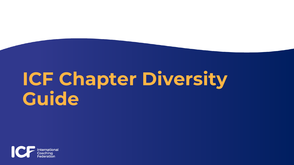# **ICF Chapter Diversity Guide**

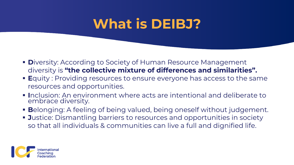#### **What is DEIBJ?**

- **D**iversity: According to Society of Human Resource Management diversity is **"the collective mixture of differences and similarities".**
- **E**quity: Providing resources to ensure everyone has access to the same resources and opportunities.
- **I**nclusion: An environment where acts are intentional and deliberate to embrace diversity.
- **Belonging: A feeling of being valued, being oneself without judgement.**
- **Justice: Dismantling barriers to resources and opportunities in society** so that all individuals & communities can live a full and dignified life.

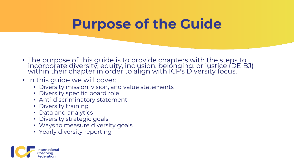#### **Purpose of the Guide**

- The purpose of this guide is to provide chapters with the steps to incorporate diversity, equity, inclusion, belonging, or justice (DEIBJ) within their chapter in order to align with ICF's Diversity focus.
- In this guide we will cover:
	- Diversity mission, vision, and value statements
	- Diversity specific board role
	- Anti-discriminatory statement
	- Diversity training
	- Data and analytics
	- Diversity strategic goals
	- Ways to measure diversity goals
	- Yearly diversity reporting

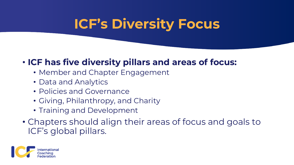### **ICF's Diversity Focus**

#### • **ICF has five diversity pillars and areas of focus:**

- Member and Chapter Engagement
- Data and Analytics
- Policies and Governance
- Giving, Philanthropy, and Charity
- Training and Development
- Chapters should align their areas of focus and goals to ICF's global pillars.

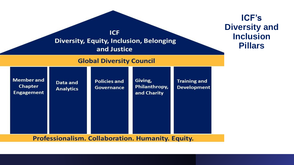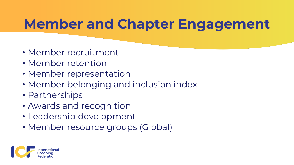### **Member and Chapter Engagement**

- Member recruitment
- Member retention
- Member representation
- Member belonging and inclusion index
- Partnerships
- Awards and recognition
- Leadership development
- Member resource groups (Global)

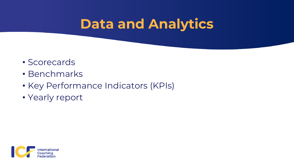#### **Data and Analytics**

- Scorecards
- Benchmarks
- Key Performance Indicators (KPIs)
- Yearly report

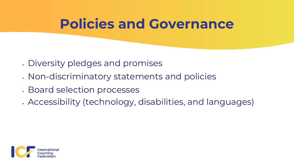#### **Policies and Governance**

- Diversity pledges and promises
- . Non-discriminatory statements and policies
- . Board selection processes
- . Accessibility (technology, disabilities, and languages)

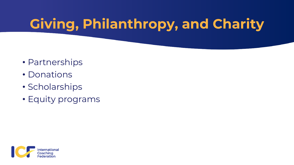# **Giving, Philanthropy, and Charity**

- Partnerships
- Donations
- Scholarships
- Equity programs

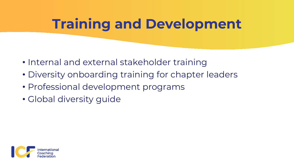## **Training and Development**

- Internal and external stakeholder training
- Diversity onboarding training for chapter leaders
- Professional development programs
- Global diversity guide

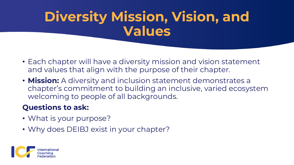# **Diversity Mission, Vision, and Values**

- Each chapter will have a diversity mission and vision statement and values that align with the purpose of their chapter.
- **Mission:** A diversity and inclusion statement demonstrates a chapter's commitment to building an inclusive, varied ecosystem welcoming to people of all backgrounds.

#### **Questions to ask:**

- What is your purpose?
- Why does DEIBJ exist in your chapter?

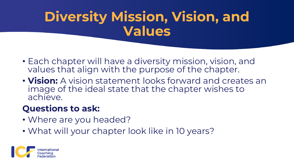# **Diversity Mission, Vision, and Values**

- Each chapter will have a diversity mission, vision, and values that align with the purpose of the chapter.
- **Vision:** A vision statement looks forward and creates an image of the ideal state that the chapter wishes to achieve.

#### **Questions to ask:**

- Where are you headed?
- What will your chapter look like in 10 years?

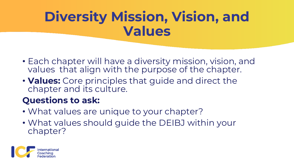# **Diversity Mission, Vision, and Values**

- Each chapter will have a diversity mission, vision, and values that align with the purpose of the chapter.
- **Values:** Core principles that guide and direct the chapter and its culture.

#### **Questions to ask:**

- What values are unique to your chapter?
- What values should guide the DEIBJ within your chapter?

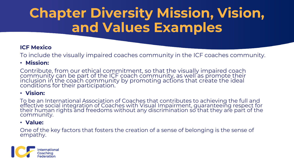# **Chapter Diversity Mission, Vision, and Values Examples**

#### **ICF Mexico**

To include the visually impaired coaches community in the ICF coaches community.

#### • **Mission:**

Contribute, from our ethical commitment, so that the visually impaired coach community can be part of the ICF coach community, as well as promote their inclusion in the coach community by promoting actions that create the ideal conditions for their participation.

#### • **Vision:**

To be an International Association of Coaches that contributes to achieving the full and effective social integration of Coaches with Visual Impairment, guaranteeing respect for their human rights and freedoms without any discrimination so that they are part of the community.

#### • **Value:**

One of the key factors that fosters the creation of a sense of belonging is the sense of empathy.

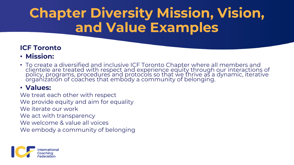# **Chapter Diversity Mission, Vision, and Value Examples**

#### **ICF Toronto**

- **Mission:**
- To create a diversified and inclusive ICF Toronto Chapter where all members and clientele are treated with respect and experience equity through our interactions of policy, programs, procedures and protocols so that we thrive as a dynamic, iterative organization of coaches that embody a community of belonging.

#### • **Values:**

We treat each other with respect We provide equity and aim for equality We iterate our work We act with transparency We welcome & value all voices We embody a community of belonging

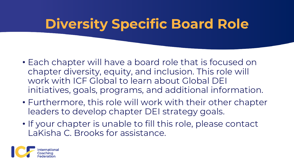# **Diversity Specific Board Role**

- Each chapter will have a board role that is focused on chapter diversity, equity, and inclusion. This role will work with ICF Global to learn about Global DEI initiatives, goals, programs, and additional information.
- Furthermore, this role will work with their other chapter leaders to develop chapter DEI strategy goals.
- If your chapter is unable to fill this role, please contact LaKisha C. Brooks for assistance.

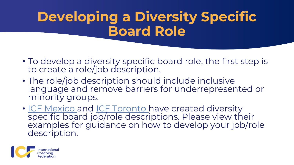## **Developing a Diversity Specific Board Role**

- To develop a diversity specific board role, the first step is to create a role/job description.
- The role/job description should include inclusive language and remove barriers for underrepresented or minority groups.
- [ICF Mexico a](https://theaiedge-my.sharepoint.com/personal/brooksl_theaiedge_com/Documents/DiversityData/Chapter%20Resources/JOB%20DESCRIPTION%20-%20Director%20of%20DEIJ.pdf)nd [ICF Toronto h](https://theaiedge-my.sharepoint.com/personal/brooksl_theaiedge_com/Documents/DiversityData/Chapter%20Resources/DEI%20Role%20Description-%20ICF%20Toronto%20.pdf)ave created diversity specific board job/role descriptions. Please view their examples for guidance on how to develop your job/role description.

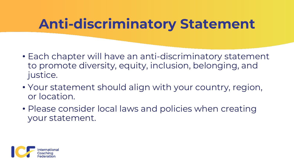### **Anti-discriminatory Statement**

- Each chapter will have an anti-discriminatory statement to promote diversity, equity, inclusion, belonging, and justice.
- Your statement should align with your country, region, or location.
- Please consider local laws and policies when creating your statement.

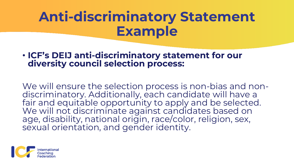## **Anti-discriminatory Statement Example**

#### • **ICF's DEIJ anti-discriminatory statement for our diversity council selection process:**

We will ensure the selection process is non-bias and nondiscriminatory. Additionally, each candidate will have a fair and equitable opportunity to apply and be selected. We will not discriminate against candidates based on age, disability, national origin, race/color, religion, sex, sexual orientation, and gender identity.

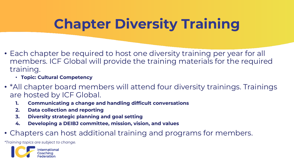# **Chapter Diversity Training**

- Each chapter be required to host one diversity training per year for all members. ICF Global will provide the training materials for the required training.
	- **Topic: Cultural Competency**
- \*All chapter board members will attend four diversity trainings. Trainings are hosted by ICF Global.
	- **1. Communicating a change and handling difficult conversations**
	- **2. Data collection and reporting**
	- **3. Diversity strategic planning and goal setting**
	- **4. Developing a DEIBJ committee, mission, vision, and values**
- Chapters can host additional training and programs for members.

*\*Training topics are subject to change.* 

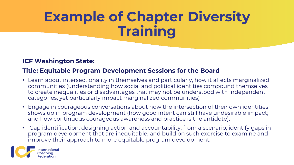# **Example of Chapter Diversity Training**

#### **ICF Washington State:**

#### **Title: Equitable Program Development Sessions for the Board**

- Learn about intersectionality in themselves and particularly, how it affects marginalized communities (understanding how social and political identities compound themselves to create inequalities or disadvantages that may not be understood with independent categories, yet particularly impact marginalized communities)
- Engage in courageous conversations about how the intersection of their own identities shows up in program development (how good intent can still have undesirable impact; and how continuous courageous awareness and practice is the antidote).
- Gap identification, designing action and accountability: from a scenario, identify gaps in program development that are inequitable, and build on such exercise to examine and improve their approach to more equitable program development.

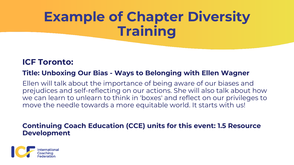# **Example of Chapter Diversity Training**

#### **ICF Toronto:**

#### **Title: Unboxing Our Bias - Ways to Belonging with Ellen Wagner**

Ellen will talk about the importance of being aware of our biases and prejudices and self-reflecting on our actions. She will also talk about how we can learn to unlearn to think in 'boxes' and reflect on our privileges to move the needle towards a more equitable world. It starts with us!

#### **Continuing Coach Education (CCE) units for this event: 1.5 Resource Development**

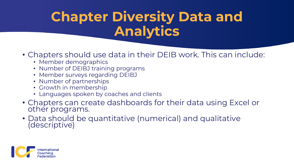## **Chapter Diversity Data and Analytics**

- Chapters should use data in their DEIB work. This can include:
	- Member demographics
	- Number of DEIBJ training programs
	- Member surveys regarding DEIBJ
	- Number of partnerships
	- Growth in membership
	- Languages spoken by coaches and clients
- Chapters can create dashboards for their data using Excel or other programs.
- Data should be quantitative (numerical) and qualitative (descriptive)

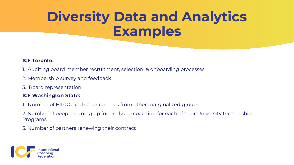# **Diversity Data and Analytics Examples**

#### **ICF Toronto:**

- 1. Auditing board member recruitment, selection, & onboarding processes
- 2. Membership survey and feedback
- 3. Board representation

#### **ICF Washington State:**

- 1. Number of BIPOC and other coaches from other marginalized groups
- 2. Number of people signing up for pro bono coaching for each of their University Partnership Programs.
- 3. Number of partners renewing their contract

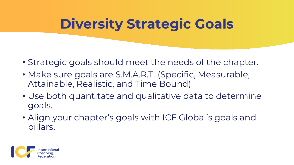# **Diversity Strategic Goals**

- Strategic goals should meet the needs of the chapter.
- Make sure goals are S.M.A.R.T. (Specific, Measurable, Attainable, Realistic, and Time Bound)
- Use both quantitate and qualitative data to determine goals.
- Align your chapter's goals with ICF Global's goals and pillars.

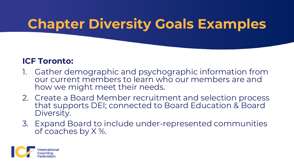### **Chapter Diversity Goals Examples**

#### **ICF Toronto:**

- Gather demographic and psychographic information from our current members to learn who our members are and how we might meet their needs.
- 2. Create a Board Member recruitment and selection process that supports DEI; connected to Board Education & Board Diversity.
- 3. Expand Board to include under-represented communities of coaches by X %.

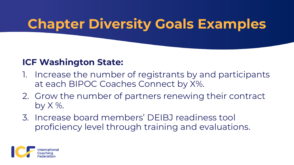### **Chapter Diversity Goals Examples**

#### **ICF Washington State:**

- Increase the number of registrants by and participants at each BIPOC Coaches Connect by X%.
- 2. Grow the number of partners renewing their contract by  $X$  %.
- 3. Increase board members' DEIBJ readiness tool proficiency level through training and evaluations.

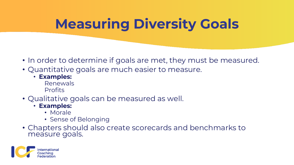# **Measuring Diversity Goals**

- In order to determine if goals are met, they must be measured.
- Quantitative goals are much easier to measure.
	- **Examples:**
		- Renewals Profits
- Qualitative goals can be measured as well.
	- **Examples:**
		- Morale
		- Sense of Belonging
- Chapters should also create scorecards and benchmarks to measure goals.

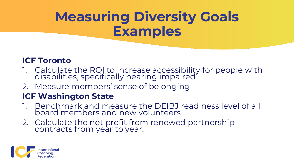# **Measuring Diversity Goals Examples**

#### **ICF Toronto**

- 1. Calculate the ROI to increase accessibility for people with disabilities, specifically hearing impaired'
- 2. Measure members' sense of belonging

#### **ICF Washington State**

- 1. Benchmark and measure the DEIBJ readiness level of all board members and new volunteers
- 2. Calculate the net profit from renewed partnership contracts from year to year.

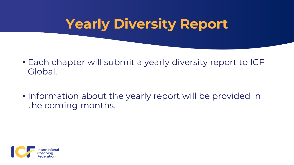## **Yearly Diversity Report**

- Each chapter will submit a yearly diversity report to ICF Global.
- Information about the yearly report will be provided in the coming months.

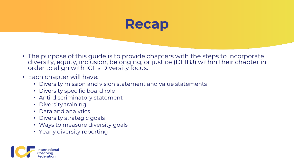

- The purpose of this guide is to provide chapters with the steps to incorporate diversity, equity, inclusion, belonging, or justice (DEIBJ) within their chapter in order to align with ICF's Diversity focus.
- Each chapter will have:
	- Diversity mission and vision statement and value statements
	- Diversity specific board role
	- Anti-discriminatory statement
	- Diversity training
	- Data and analytics
	- Diversity strategic goals
	- Ways to measure diversity goals
	- Yearly diversity reporting

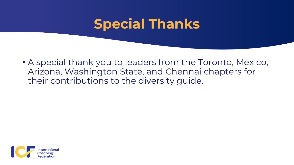#### **Special Thanks**

• A special thank you to leaders from the Toronto, Mexico, Arizona, Washington State, and Chennai chapters for their contributions to the diversity guide.